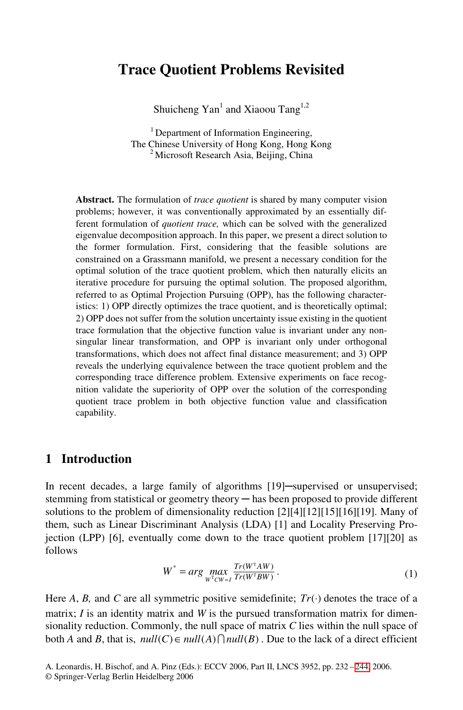# **Trace Quotient Problems Revisited**

Shuicheng  $Yan<sup>1</sup>$  and Xiaoou Tang<sup>1,2</sup>

<sup>1</sup> Department of Information Engineering, The Chinese University of Hong Kong, Hong Kong<br><sup>2</sup> Microsoft Research Asia, Beijing, China

**Abstract.** The formulation of *trace quotient* is shared by many computer vision problems; however, it was conventionally approximated by an essentially different formulation of *quotient trace,* which can be solved with the generalized eigenvalue decomposition approach. In this paper, we present a direct solution to the former formulation. First, considering that the feasible solutions are constrained on a Grassmann manifold, we present a necessary condition for the optimal solution of the trace quotient problem, which then naturally elicits an iterative procedure for pursuing the optimal solution. The proposed algorithm, referred to as Optimal Projection Pursuing (OPP), has the following characteristics: 1) OPP directly optimizes the trace quotient, and is theoretically optimal; 2) OPP does not suffer from the solution uncertainty issue existing in the quotient trace formulation that the objective function value is invariant under any nonsingular linear transformation, and OPP is invariant only under orthogonal transformations, which does not affect final distance measurement; and 3) OPP reveals the underlying equivalence between the trace quotient problem and the corresponding trace difference problem. Extensive experiments on face recognition validate the superiority of OPP over the solution of the corresponding quotient trace problem in both objective function value and classification capability.

## **1 Introduction**

In recent decades, a large family of algorithms [19]—supervised or unsupervised; stemming from statistical or geometry theory ─ has been proposed to provide different solutions to the problem of dimensionality reduction [2][4][12][15][16][19]. Many of them, such as Linear Discriminant Analysis (LDA) [1] and Locality Preserving Projection (LPP) [6], eventually come down to the trace quotient problem [17][20] as follows

$$
W^* = \arg\max_{W^T C W = I} \frac{Tr(W^T A W)}{Tr(W^T B W)}.
$$
\n(1)

Here *A*, *B*, and *C* are all symmetric positive semidefinite;  $Tr(\cdot)$  denotes the trace of a matrix;  $I$  is an identity matrix and  $W$  is the pursued transformation matrix for dimensionality reduction. Commonly, the null space of matrix *C* lies within the null space of both *A* and *B*, that is,  $null(C) \in null(A) \cap null(B)$ . Due to the lack of a direct efficient

A. Leonardis, H. Bischof, and A. Pinz (Eds.): ECCV 2006, Part II, LNCS 3952, pp. 232 – 244, 2006. © Springer-Verlag Berlin Heidelberg 2006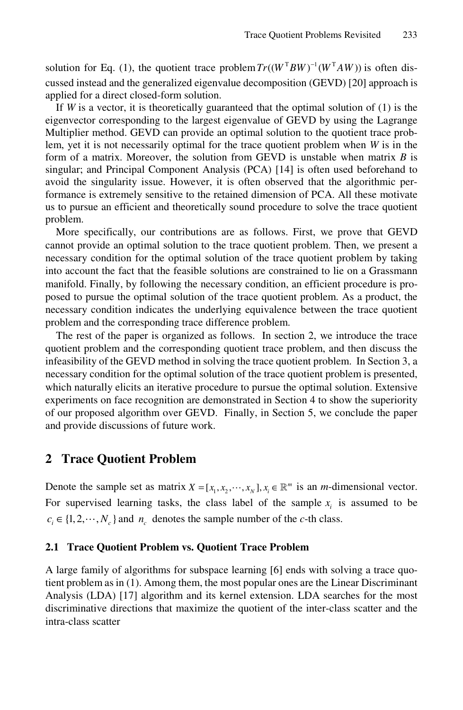solution for Eq. (1), the quotient trace problem  $Tr((W^T B W)^{-1}(W^T A W))$  is often discussed instead and the generalized eigenvalue decomposition (GEVD) [20] approach is applied for a direct closed-form solution.

If *W* is a vector, it is theoretically guaranteed that the optimal solution of (1) is the eigenvector corresponding to the largest eigenvalue of GEVD by using the Lagrange Multiplier method. GEVD can provide an optimal solution to the quotient trace problem, yet it is not necessarily optimal for the trace quotient problem when *W* is in the form of a matrix. Moreover, the solution from GEVD is unstable when matrix *B* is singular; and Principal Component Analysis (PCA) [14] is often used beforehand to avoid the singularity issue. However, it is often observed that the algorithmic performance is extremely sensitive to the retained dimension of PCA. All these motivate us to pursue an efficient and theoretically sound procedure to solve the trace quotient problem.

More specifically, our contributions are as follows. First, we prove that GEVD cannot provide an optimal solution to the trace quotient problem. Then, we present a necessary condition for the optimal solution of the trace quotient problem by taking into account the fact that the feasible solutions are constrained to lie on a Grassmann manifold. Finally, by following the necessary condition, an efficient procedure is proposed to pursue the optimal solution of the trace quotient problem. As a product, the necessary condition indicates the underlying equivalence between the trace quotient problem and the corresponding trace difference problem.

The rest of the paper is organized as follows. In section 2, we introduce the trace quotient problem and the corresponding quotient trace problem, and then discuss the infeasibility of the GEVD method in solving the trace quotient problem. In Section 3, a necessary condition for the optimal solution of the trace quotient problem is presented, which naturally elicits an iterative procedure to pursue the optimal solution. Extensive experiments on face recognition are demonstrated in Section 4 to show the superiority of our proposed algorithm over GEVD. Finally, in Section 5, we conclude the paper and provide discussions of future work.

## **2 Trace Quotient Problem**

Denote the sample set as matrix  $X = [x_1, x_2, \dots, x_N]$ ,  $x_i \in \mathbb{R}^m$  is an *m*-dimensional vector. For supervised learning tasks, the class label of the sample  $x_i$  is assumed to be  $c_i \in \{1, 2, \dots, N_c\}$  and  $n_c$  denotes the sample number of the *c*-th class.

#### **2.1 Trace Quotient Problem vs. Quotient Trace Problem**

A large family of algorithms for subspace learning [6] ends with solving a trace quotient problem as in (1). Among them, the most popular ones are the Linear Discriminant Analysis (LDA) [17] algorithm and its kernel extension. LDA searches for the most discriminative directions that maximize the quotient of the inter-class scatter and the intra-class scatter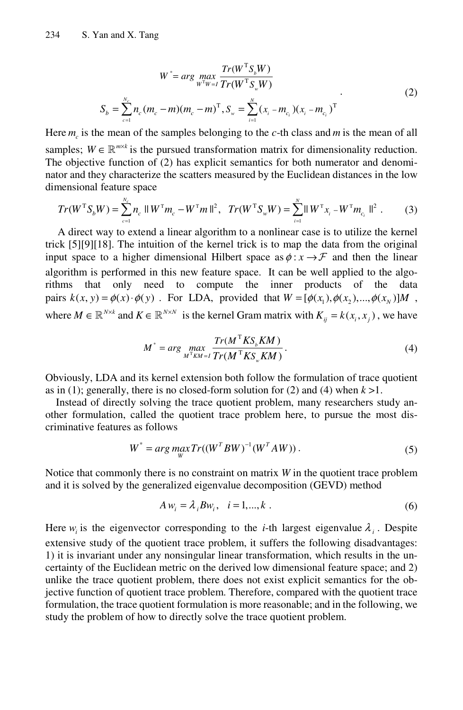$$
W^* = \arg \max_{w^{\mathrm{T}}w = I} \frac{Tr(W^{\mathrm{T}} S_b W)}{Tr(W^{\mathrm{T}} S_w W)}
$$
  

$$
S_b = \sum_{c=1}^{N_c} n_c (m_c - m)(m_c - m)^{\mathrm{T}}, S_w = \sum_{i=1}^{N} (x_i - m_{c_i})(x_i - m_{c_i})^{\mathrm{T}}
$$
(2)

Here  $m_c$  is the mean of the samples belonging to the *c*-th class and  $m$  is the mean of all

samples;  $W \in \mathbb{R}^{m \times k}$  is the pursued transformation matrix for dimensionality reduction. The objective function of (2) has explicit semantics for both numerator and denominator and they characterize the scatters measured by the Euclidean distances in the low dimensional feature space

$$
Tr(W^{\mathrm{T}}S_bW) = \sum_{c=1}^{N_c} n_c \parallel W^{\mathrm{T}}m_c - W^{\mathrm{T}}m \parallel^2, \quad Tr(W^{\mathrm{T}}S_wW) = \sum_{i=1}^{N} \parallel W^{\mathrm{T}}x_i - W^{\mathrm{T}}m_{c_i} \parallel^2. \tag{3}
$$

A direct way to extend a linear algorithm to a nonlinear case is to utilize the kernel trick [5][9][18]. The intuition of the kernel trick is to map the data from the original input space to a higher dimensional Hilbert space as  $\phi: x \to \mathcal{F}$  and then the linear algorithm is performed in this new feature space. It can be well applied to the algorithms that only need to compute the inner products of the data pairs  $k(x, y) = \phi(x) \cdot \phi(y)$ . For LDA, provided that  $W = [\phi(x_1), \phi(x_2), ..., \phi(x_N)]M$ , where  $M \in \mathbb{R}^{N \times k}$  and  $K \in \mathbb{R}^{N \times N}$  is the kernel Gram matrix with  $K_{ij} = k(x_i, x_j)$ , we have

$$
M^* = \arg\max_{M^{\mathrm{T}} K M = l} \frac{Tr(M^{\mathrm{T}} K S_{\mathrm{p}} K M)}{Tr(M^{\mathrm{T}} K S_{\mathrm{w}} K M)}.
$$
\n(4)

Obviously, LDA and its kernel extension both follow the formulation of trace quotient as in (1); generally, there is no closed-form solution for (2) and (4) when  $k > 1$ .

Instead of directly solving the trace quotient problem, many researchers study another formulation, called the quotient trace problem here, to pursue the most discriminative features as follows

$$
W^* = \underset{W}{\arg\max} Tr((W^T B W)^{-1} (W^T A W)).
$$
\n<sup>(5)</sup>

Notice that commonly there is no constraint on matrix *W* in the quotient trace problem and it is solved by the generalized eigenvalue decomposition (GEVD) method

$$
A w_i = \lambda_i B w_i, \quad i = 1, \dots, k \tag{6}
$$

Here  $w_i$  is the eigenvector corresponding to the *i*-th largest eigenvalue  $\lambda_i$ . Despite extensive study of the quotient trace problem, it suffers the following disadvantages: 1) it is invariant under any nonsingular linear transformation, which results in the uncertainty of the Euclidean metric on the derived low dimensional feature space; and 2) unlike the trace quotient problem, there does not exist explicit semantics for the objective function of quotient trace problem. Therefore, compared with the quotient trace formulation, the trace quotient formulation is more reasonable; and in the following, we study the problem of how to directly solve the trace quotient problem.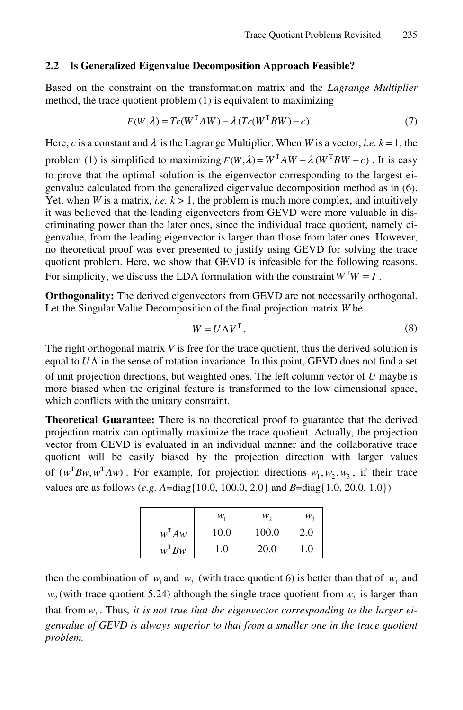#### **2.2 Is Generalized Eigenvalue Decomposition Approach Feasible?**

Based on the constraint on the transformation matrix and the *Lagrange Multiplier*  method, the trace quotient problem (1) is equivalent to maximizing

$$
F(W, \lambda) = Tr(WTAW) - \lambda (Tr(WTBW) - c).
$$
 (7)

Here, *c* is a constant and  $\lambda$  is the Lagrange Multiplier. When *W* is a vector, *i.e.*  $k = 1$ , the problem (1) is simplified to maximizing  $F(W, \lambda) = W^{T} A W - \lambda (W^{T} B W - c)$ . It is easy to prove that the optimal solution is the eigenvector corresponding to the largest eigenvalue calculated from the generalized eigenvalue decomposition method as in (6). Yet, when *W* is a matrix, *i.e.*  $k > 1$ , the problem is much more complex, and intuitively it was believed that the leading eigenvectors from GEVD were more valuable in discriminating power than the later ones, since the individual trace quotient, namely eigenvalue, from the leading eigenvector is larger than those from later ones. However, no theoretical proof was ever presented to justify using GEVD for solving the trace quotient problem. Here, we show that GEVD is infeasible for the following reasons. For simplicity, we discuss the LDA formulation with the constraint  $W<sup>T</sup>W = I$ .

**Orthogonality:** The derived eigenvectors from GEVD are not necessarily orthogonal. Let the Singular Value Decomposition of the final projection matrix *W* be

$$
W = U \Lambda V^{T}.
$$
 (8)

The right orthogonal matrix *V* is free for the trace quotient, thus the derived solution is equal to *U*Λ in the sense of rotation invariance. In this point, GEVD does not find a set of unit projection directions, but weighted ones. The left column vector of *U* maybe is more biased when the original feature is transformed to the low dimensional space, which conflicts with the unitary constraint.

**Theoretical Guarantee:** There is no theoretical proof to guarantee that the derived projection matrix can optimally maximize the trace quotient. Actually, the projection vector from GEVD is evaluated in an individual manner and the collaborative trace quotient will be easily biased by the projection direction with larger values of  $(w^T B w, w^T A w)$ . For example, for projection directions  $w_1, w_2, w_3$ , if their trace values are as follows (*e.g. A*=diag{10.0, 100.0, 2.0} and *B*=diag{1.0, 20.0, 1.0})

|                      | w,   | w,    | $W_2$ |
|----------------------|------|-------|-------|
| $w^{\mathrm{T}} A w$ | 10.0 | 100.0 | 2.0   |
| $w^{\mathrm{T}}Bw$   | 1.0  | 20.0  | 0.0   |

then the combination of  $w_1$  and  $w_3$  (with trace quotient 6) is better than that of  $w_1$  and  $w_2$  (with trace quotient 5.24) although the single trace quotient from  $w_2$  is larger than that from  $w_3$ . Thus, it is not true that the eigenvector corresponding to the larger ei*genvalue of GEVD is always superior to that from a smaller one in the trace quotient problem.*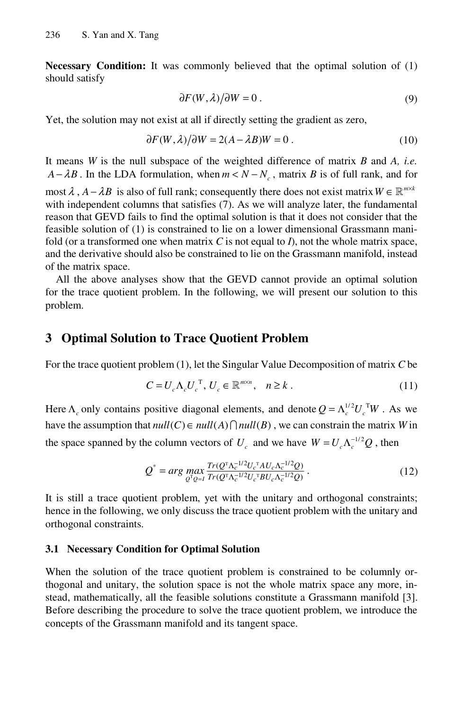**Necessary Condition:** It was commonly believed that the optimal solution of (1) should satisfy

$$
\partial F(W,\lambda)/\partial W = 0. \tag{9}
$$

Yet, the solution may not exist at all if directly setting the gradient as zero,

$$
\partial F(W, \lambda) / \partial W = 2(A - \lambda B)W = 0.
$$
 (10)

It means *W* is the null subspace of the weighted difference of matrix *B* and *A, i.e. A*−  $\lambda$ *B*. In the LDA formulation, when  $m < N - N_c$ , matrix *B* is of full rank, and for

most  $\lambda$ ,  $A - \lambda B$  is also of full rank; consequently there does not exist matrix  $W \in \mathbb{R}^{m \times k}$ with independent columns that satisfies (7). As we will analyze later, the fundamental reason that GEVD fails to find the optimal solution is that it does not consider that the feasible solution of (1) is constrained to lie on a lower dimensional Grassmann manifold (or a transformed one when matrix *C* is not equal to *I*), not the whole matrix space, and the derivative should also be constrained to lie on the Grassmann manifold, instead of the matrix space.

All the above analyses show that the GEVD cannot provide an optimal solution for the trace quotient problem. In the following, we will present our solution to this problem.

## **3 Optimal Solution to Trace Quotient Problem**

For the trace quotient problem (1), let the Singular Value Decomposition of matrix *C* be

$$
C = U_c \Lambda_c U_c^{\mathrm{T}}, \ U_c \in \mathbb{R}^{m \times n}, \quad n \ge k \ . \tag{11}
$$

Here  $\Lambda_c$  only contains positive diagonal elements, and denote  $Q = \Lambda_c^{1/2} U_c^{T} W$ . As we have the assumption that  $null(C) \in null(A) \cap null(B)$ , we can constrain the matrix *W* in the space spanned by the column vectors of  $U_c$  and we have  $W = U_c \Lambda_c^{-1/2} Q$ , then

$$
Q^* = arg \max_{Q^T Q = I} \frac{Tr(Q^T \Lambda_c^{-1/2} U_c^T A U_c \Lambda_c^{-1/2} Q)}{Tr(Q^T \Lambda_c^{-1/2} U_c^T B U_c \Lambda_c^{-1/2} Q)}.
$$
(12)

It is still a trace quotient problem, yet with the unitary and orthogonal constraints; hence in the following, we only discuss the trace quotient problem with the unitary and orthogonal constraints.

#### **3.1 Necessary Condition for Optimal Solution**

When the solution of the trace quotient problem is constrained to be columnly orthogonal and unitary, the solution space is not the whole matrix space any more, instead, mathematically, all the feasible solutions constitute a Grassmann manifold [3]. Before describing the procedure to solve the trace quotient problem, we introduce the concepts of the Grassmann manifold and its tangent space.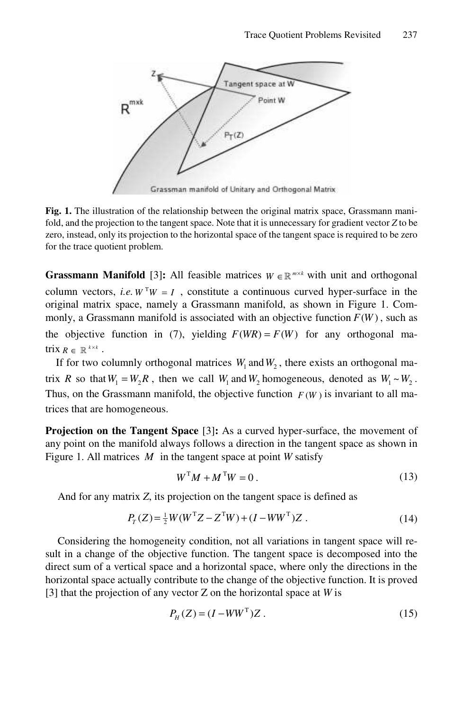

**Fig. 1.** The illustration of the relationship between the original matrix space, Grassmann manifold, and the projection to the tangent space. Note that it is unnecessary for gradient vector *Z* to be zero, instead, only its projection to the horizontal space of the tangent space is required to be zero for the trace quotient problem.

**Grassmann Manifold** [3]: All feasible matrices  $W \in \mathbb{R}^{m \times k}$  with unit and orthogonal column vectors, *i.e.*  $W^{\text{T}}W = I$ , constitute a continuous curved hyper-surface in the original matrix space, namely a Grassmann manifold, as shown in Figure 1. Commonly, a Grassmann manifold is associated with an objective function  $F(W)$ , such as the objective function in (7), yielding  $F(WR) = F(W)$  for any orthogonal matrix  $R \in \mathbb{R}^{k \times k}$ .

If for two columnly orthogonal matrices  $W_1$  and  $W_2$ , there exists an orthogonal matrix *R* so that  $W_1 = W_2 R$ , then we call  $W_1$  and  $W_2$  homogeneous, denoted as  $W_1 \sim W_2$ . Thus, on the Grassmann manifold, the objective function  $F(W)$  is invariant to all matrices that are homogeneous.

**Projection on the Tangent Space** [3]**:** As a curved hyper-surface, the movement of any point on the manifold always follows a direction in the tangent space as shown in Figure 1. All matrices *M* in the tangent space at point *W* satisfy

$$
W^{\mathrm{T}}M + M^{\mathrm{T}}W = 0. \tag{13}
$$

And for any matrix *Z*, its projection on the tangent space is defined as

$$
P_T(Z) = \frac{1}{2}W(W^{\mathrm{T}}Z - Z^{\mathrm{T}}W) + (I - WW^{\mathrm{T}})Z.
$$
 (14)

Considering the homogeneity condition, not all variations in tangent space will result in a change of the objective function. The tangent space is decomposed into the direct sum of a vertical space and a horizontal space, where only the directions in the horizontal space actually contribute to the change of the objective function. It is proved [3] that the projection of any vector Z on the horizontal space at *W* is

$$
P_H(Z) = (I - WW^T)Z.
$$
 (15)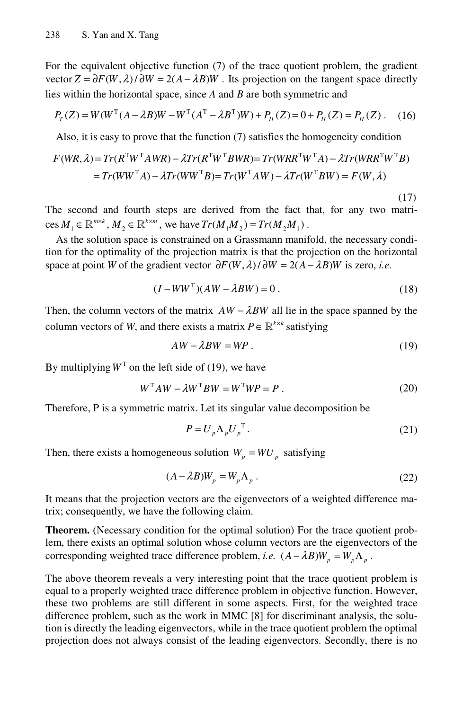For the equivalent objective function (7) of the trace quotient problem, the gradient vector  $Z = \partial F(W, \lambda) / \partial W = 2(A - \lambda B)W$ . Its projection on the tangent space directly lies within the horizontal space, since *A* and *B* are both symmetric and

$$
P_T(Z) = W(W^T(A - \lambda B)W - W^T(A^T - \lambda B^T)W) + P_H(Z) = 0 + P_H(Z) = P_H(Z)
$$
 (16)

Also, it is easy to prove that the function (7) satisfies the homogeneity condition

$$
F(WR, \lambda) = Tr(R^{T}W^{T}AWR) - \lambda Tr(R^{T}W^{T}BWR) = Tr(WRR^{T}W^{T}A) - \lambda Tr(WRR^{T}W^{T}B)
$$

$$
= Tr(WW^{T}A) - \lambda Tr(WW^{T}B) = Tr(W^{T}AW) - \lambda Tr(W^{T}BW) = F(W, \lambda)
$$
(17)

The second and fourth steps are derived from the fact that, for any two matrices  $M_1 \in \mathbb{R}^{m \times k}$ ,  $M_2 \in \mathbb{R}^{k \times m}$ , we have  $Tr(M_1M_2) = Tr(M_2M_1)$ .

As the solution space is constrained on a Grassmann manifold, the necessary condition for the optimality of the projection matrix is that the projection on the horizontal space at point *W* of the gradient vector  $\partial F(W, \lambda) / \partial W = 2(A - \lambda B)W$  is zero, *i.e.* 

$$
(I - WWT)(AW - \lambda BW) = 0.
$$
 (18)

Then, the column vectors of the matrix  $AW - \lambda BW$  all lie in the space spanned by the column vectors of *W*, and there exists a matrix  $P \in \mathbb{R}^{k \times k}$  satisfying

$$
AW - \lambda BW = WP. \tag{19}
$$

By multiplying  $W<sup>T</sup>$  on the left side of (19), we have

$$
WTAW - \lambda WTBW = WTWP = P.
$$
 (20)

Therefore, P is a symmetric matrix. Let its singular value decomposition be

$$
P = U_p \Lambda_p U_p^{\mathrm{T}}.
$$
 (21)

Then, there exists a homogeneous solution  $W_p = WU_p$  satisfying

$$
(A - \lambda B)W_p = W_p \Lambda_p \,. \tag{22}
$$

It means that the projection vectors are the eigenvectors of a weighted difference matrix; consequently, we have the following claim.

**Theorem.** (Necessary condition for the optimal solution) For the trace quotient problem, there exists an optimal solution whose column vectors are the eigenvectors of the corresponding weighted trace difference problem, *i.e.*  $(A - \lambda B)W_p = W_p \Lambda_p$ .

The above theorem reveals a very interesting point that the trace quotient problem is equal to a properly weighted trace difference problem in objective function. However, these two problems are still different in some aspects. First, for the weighted trace difference problem, such as the work in MMC [8] for discriminant analysis, the solution is directly the leading eigenvectors, while in the trace quotient problem the optimal projection does not always consist of the leading eigenvectors. Secondly, there is no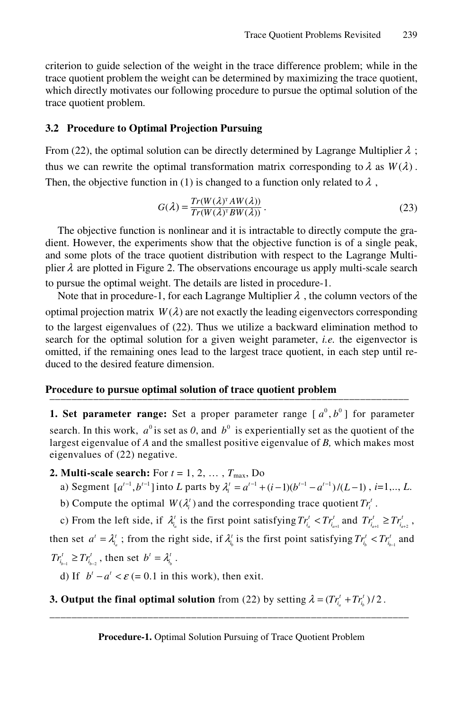criterion to guide selection of the weight in the trace difference problem; while in the trace quotient problem the weight can be determined by maximizing the trace quotient, which directly motivates our following procedure to pursue the optimal solution of the trace quotient problem.

#### **3.2 Procedure to Optimal Projection Pursuing**

From (22), the optimal solution can be directly determined by Lagrange Multiplier  $\lambda$ ; thus we can rewrite the optimal transformation matrix corresponding to  $\lambda$  as  $W(\lambda)$ . Then, the objective function in (1) is changed to a function only related to  $\lambda$ ,

$$
G(\lambda) = \frac{Tr(W(\lambda)^T A W(\lambda))}{Tr(W(\lambda)^T B W(\lambda))}.
$$
 (23)

The objective function is nonlinear and it is intractable to directly compute the gradient. However, the experiments show that the objective function is of a single peak, and some plots of the trace quotient distribution with respect to the Lagrange Multiplier  $\lambda$  are plotted in Figure 2. The observations encourage us apply multi-scale search to pursue the optimal weight. The details are listed in procedure-1.

Note that in procedure-1, for each Lagrange Multiplier  $\lambda$ , the column vectors of the optimal projection matrix  $W(\lambda)$  are not exactly the leading eigenvectors corresponding to the largest eigenvalues of (22). Thus we utilize a backward elimination method to search for the optimal solution for a given weight parameter, *i.e.* the eigenvector is omitted, if the remaining ones lead to the largest trace quotient, in each step until reduced to the desired feature dimension.

#### Procedure to pursue optimal solution of trace quotient problem

**1. Set parameter range:** Set a proper parameter range  $[a^0, b^0]$  for parameter search. In this work,  $a^0$  is set as  $0$ , and  $b^0$  is experientially set as the quotient of the largest eigenvalue of *A* and the smallest positive eigenvalue of *B,* which makes most eigenvalues of (22) negative.

**2. Multi-scale search:** For  $t = 1, 2, \ldots, T_{\text{max}}$ , Do

a) Segment  $[a^{t-1}, b^{t-1}]$  into *L* parts by  $\lambda_i^t = a^{t-1} + (i-1)(b^{t-1} - a^{t-1})/(L-1)$ ,  $i=1, ..., L$ .

b) Compute the optimal  $W(\lambda_i^t)$  and the corresponding trace quotient  $Tr_i^t$ .

c) From the left side, if  $\lambda_{i_a}^t$  is the first point satisfying  $Tr_{i_a}^t < Tr_{i_{a+1}}^t$  and  $Tr_{i_{a+1}}^t \geq Tr_{i_{a+2}}^t$ ,

then set  $a^t = \lambda_{i_a}^t$ ; from the right side, if  $\lambda_{i_b}^t$  is the first point satisfying  $Tr_{i_b}^t < Tr_{i_{b-1}}^t$  and  $Tr_{i_{b-1}}^t \geq Tr_{i_{b-2}}^t$ , then set  $b^t = \lambda_{i_b}^t$ .

d) If  $b^t - a^t < \varepsilon$  (= 0.1 in this work), then exit.

**3. Output the final optimal solution** from (22) by setting  $\lambda = (Tr_{i_a}^t + Tr_{i_b}^t)/2$ .

**Procedure-1.** Optimal Solution Pursuing of Trace Quotient Problem

\_\_\_\_\_\_\_\_\_\_\_\_\_\_\_\_\_\_\_\_\_\_\_\_\_\_\_\_\_\_\_\_\_\_\_\_\_\_\_\_\_\_\_\_\_\_\_\_\_\_\_\_\_\_\_\_\_\_\_\_\_\_\_\_\_\_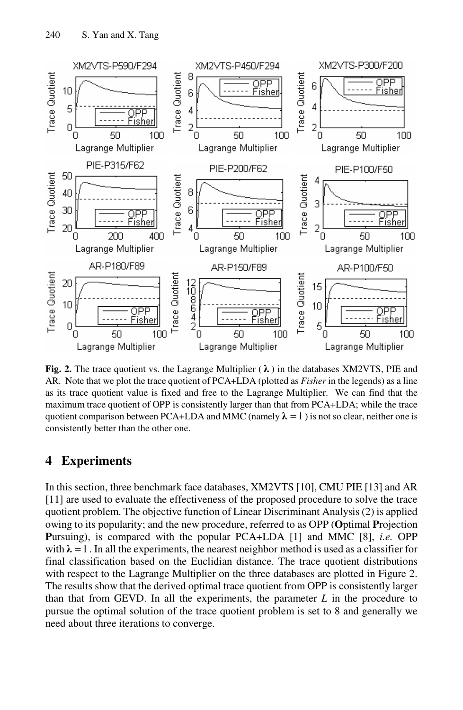

**Fig. 2.** The trace quotient vs. the Lagrange Multiplier  $(\lambda)$  in the databases XM2VTS, PIE and AR. Note that we plot the trace quotient of PCA+LDA (plotted as *Fisher* in the legends) as a line as its trace quotient value is fixed and free to the Lagrange Multiplier. We can find that the maximum trace quotient of OPP is consistently larger than that from PCA+LDA; while the trace quotient comparison between PCA+LDA and MMC (namely  $\lambda = 1$ ) is not so clear, neither one is consistently better than the other one.

## **4 Experiments**

In this section, three benchmark face databases, XM2VTS [10], CMU PIE [13] and AR [11] are used to evaluate the effectiveness of the proposed procedure to solve the trace quotient problem. The objective function of Linear Discriminant Analysis (2) is applied owing to its popularity; and the new procedure, referred to as OPP (**O**ptimal **P**rojection **P**ursuing), is compared with the popular PCA+LDA [1] and MMC [8], *i.e.* OPP with  $\lambda = 1$ . In all the experiments, the nearest neighbor method is used as a classifier for final classification based on the Euclidian distance. The trace quotient distributions with respect to the Lagrange Multiplier on the three databases are plotted in Figure 2. The results show that the derived optimal trace quotient from OPP is consistently larger than that from GEVD. In all the experiments, the parameter *L* in the procedure to pursue the optimal solution of the trace quotient problem is set to 8 and generally we need about three iterations to converge.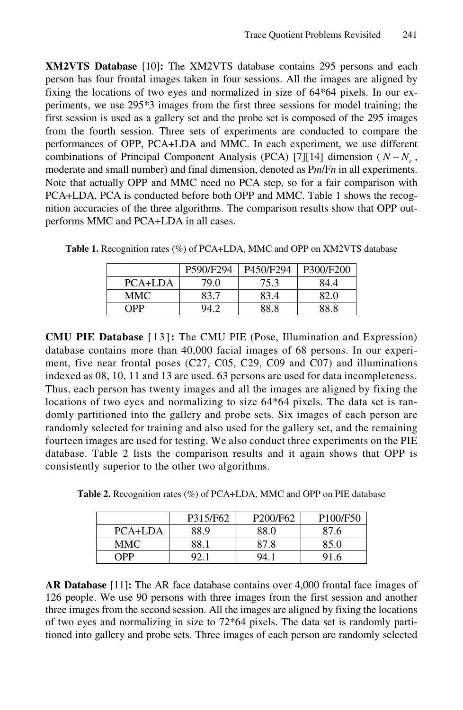**XM2VTS Database** [10]**:** The XM2VTS database contains 295 persons and each person has four frontal images taken in four sessions. All the images are aligned by fixing the locations of two eyes and normalized in size of 64\*64 pixels. In our experiments, we use 295\*3 images from the first three sessions for model training; the first session is used as a gallery set and the probe set is composed of the 295 images from the fourth session. Three sets of experiments are conducted to compare the performances of OPP, PCA+LDA and MMC. In each experiment, we use different combinations of Principal Component Analysis (PCA) [7][14] dimension ( $N - N_c$ , moderate and small number) and final dimension, denoted as P*m*/F*n* in all experiments. Note that actually OPP and MMC need no PCA step, so for a fair comparison with PCA+LDA, PCA is conducted before both OPP and MMC. Table 1 shows the recognition accuracies of the three algorithms. The comparison results show that OPP outperforms MMC and PCA+LDA in all cases.

|         | P590/F294 | P450/F294 | P300/F200 |
|---------|-----------|-----------|-----------|
| PCA+LDA | 79.0      | 75.3      | 84.4      |
| MMC.    | 83.7      | 83.4      | 82.0      |
| ∩PP     | 94.7      | 88.8      | 88.8      |

**Table 1.** Recognition rates (%) of PCA+LDA, MMC and OPP on XM2VTS database

**CMU PIE Database** [13]**:** The CMU PIE (Pose, Illumination and Expression) database contains more than 40,000 facial images of 68 persons. In our experiment, five near frontal poses (C27, C05, C29, C09 and C07) and illuminations indexed as 08, 10, 11 and 13 are used. 63 persons are used for data incompleteness. Thus, each person has twenty images and all the images are aligned by fixing the locations of two eyes and normalizing to size 64\*64 pixels. The data set is randomly partitioned into the gallery and probe sets. Six images of each person are randomly selected for training and also used for the gallery set, and the remaining fourteen images are used for testing. We also conduct three experiments on the PIE database. Table 2 lists the comparison results and it again shows that OPP is consistently superior to the other two algorithms.

| <b>Table 2.</b> Recognition rates (%) of PCA+LDA, MMC and OPP on PIE database |
|-------------------------------------------------------------------------------|
|-------------------------------------------------------------------------------|

|         | P315/F62 | P <sub>200</sub> /F <sub>62</sub> | P <sub>100</sub> /F <sub>50</sub> |
|---------|----------|-----------------------------------|-----------------------------------|
| PCA+LDA | 88.9     | 88 O                              | 87.6                              |
| MMC     | 88. i    | 87.8                              | 85.0                              |
| ∩PP     |          | 94.                               | 91 6                              |

**AR Database** [11]**:** The AR face database contains over 4,000 frontal face images of 126 people. We use 90 persons with three images from the first session and another three images from the second session. All the images are aligned by fixing the locations of two eyes and normalizing in size to 72\*64 pixels. The data set is randomly partitioned into gallery and probe sets. Three images of each person are randomly selected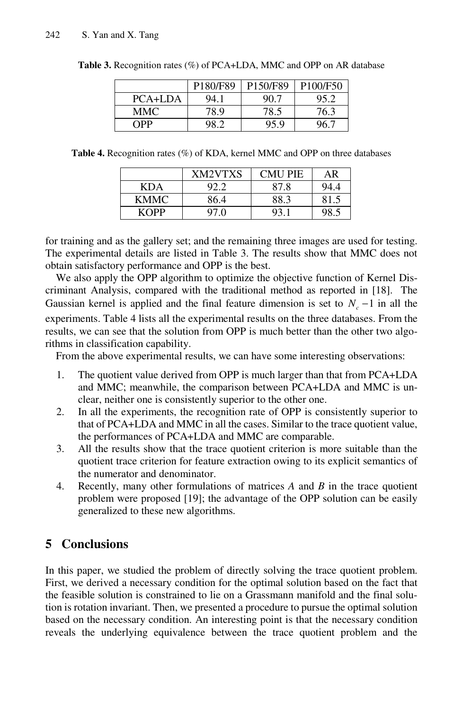|         | P180/F89 | P <sub>150</sub> /F <sub>89</sub> | P <sub>100</sub> /F <sub>50</sub> |
|---------|----------|-----------------------------------|-----------------------------------|
| PCA+LDA | 94.1     | 90.7                              | 95.2                              |
| MMC.    | 78.9     | 78.5                              | 76.3                              |
| ∩PP     | QR 7     | 95.9                              | 96 7                              |

**Table 3.** Recognition rates (%) of PCA+LDA, MMC and OPP on AR database

**Table 4.** Recognition rates (%) of KDA, kernel MMC and OPP on three databases

|             | XM2VTXS | <b>CMU PIE</b> | ΑR   |
|-------------|---------|----------------|------|
| <b>KDA</b>  | 92.2    | 87.8           | 94.4 |
| <b>KMMC</b> | 86.4    | 88.3           | 81.5 |
| KOPP        | 97 O    | 93.1           | 98 S |

for training and as the gallery set; and the remaining three images are used for testing. The experimental details are listed in Table 3. The results show that MMC does not obtain satisfactory performance and OPP is the best.

We also apply the OPP algorithm to optimize the objective function of Kernel Discriminant Analysis, compared with the traditional method as reported in [18]. The Gaussian kernel is applied and the final feature dimension is set to  $N_c - 1$  in all the experiments. Table 4 lists all the experimental results on the three databases. From the results, we can see that the solution from OPP is much better than the other two algorithms in classification capability.

From the above experimental results, we can have some interesting observations:

- 1. The quotient value derived from OPP is much larger than that from PCA+LDA and MMC; meanwhile, the comparison between PCA+LDA and MMC is unclear, neither one is consistently superior to the other one.
- 2. In all the experiments, the recognition rate of OPP is consistently superior to that of PCA+LDA and MMC in all the cases. Similar to the trace quotient value, the performances of PCA+LDA and MMC are comparable.
- 3. All the results show that the trace quotient criterion is more suitable than the quotient trace criterion for feature extraction owing to its explicit semantics of the numerator and denominator.
- 4. Recently, many other formulations of matrices *A* and *B* in the trace quotient problem were proposed [19]; the advantage of the OPP solution can be easily generalized to these new algorithms.

# **5 Conclusions**

In this paper, we studied the problem of directly solving the trace quotient problem. First, we derived a necessary condition for the optimal solution based on the fact that the feasible solution is constrained to lie on a Grassmann manifold and the final solution is rotation invariant. Then, we presented a procedure to pursue the optimal solution based on the necessary condition. An interesting point is that the necessary condition reveals the underlying equivalence between the trace quotient problem and the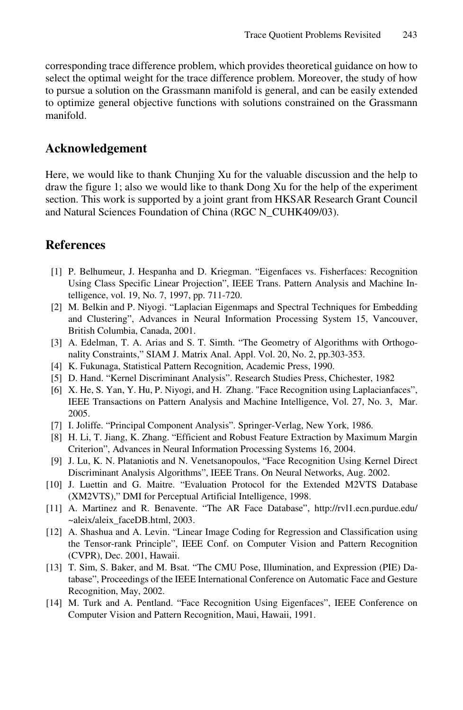corresponding trace difference problem, which provides theoretical guidance on how to select the optimal weight for the trace difference problem. Moreover, the study of how to pursue a solution on the Grassmann manifold is general, and can be easily extended to optimize general objective functions with solutions constrained on the Grassmann manifold.

### **Acknowledgement**

Here, we would like to thank Chunjing Xu for the valuable discussion and the help to draw the figure 1; also we would like to thank Dong Xu for the help of the experiment section. This work is supported by a joint grant from HKSAR Research Grant Council and Natural Sciences Foundation of China (RGC N\_CUHK409/03).

## **References**

- [1] P. Belhumeur, J. Hespanha and D. Kriegman. "Eigenfaces vs. Fisherfaces: Recognition Using Class Specific Linear Projection", IEEE Trans. Pattern Analysis and Machine Intelligence, vol. 19, No. 7, 1997, pp. 711-720.
- [2] M. Belkin and P. Niyogi. "Laplacian Eigenmaps and Spectral Techniques for Embedding and Clustering", Advances in Neural Information Processing System 15, Vancouver, British Columbia, Canada, 2001.
- [3] A. Edelman, T. A. Arias and S. T. Simth. "The Geometry of Algorithms with Orthogonality Constraints," SIAM J. Matrix Anal. Appl. Vol. 20, No. 2, pp.303-353.
- [4] K. Fukunaga, Statistical Pattern Recognition, Academic Press, 1990.
- [5] D. Hand. "Kernel Discriminant Analysis". Research Studies Press, Chichester, 1982
- [6] X. He, S. Yan, Y. Hu, P. Niyogi, and H. Zhang. "Face Recognition using Laplacianfaces", IEEE Transactions on Pattern Analysis and Machine Intelligence, Vol. 27, No. 3, Mar. 2005.
- [7] I. Joliffe. "Principal Component Analysis". Springer-Verlag, New York, 1986.
- [8] H. Li, T. Jiang, K. Zhang. "Efficient and Robust Feature Extraction by Maximum Margin Criterion", Advances in Neural Information Processing Systems 16, 2004.
- [9] J. Lu, K. N. Plataniotis and N. Venetsanopoulos, "Face Recognition Using Kernel Direct Discriminant Analysis Algorithms", IEEE Trans. On Neural Networks, Aug. 2002.
- [10] J. Luettin and G. Maitre. "Evaluation Protocol for the Extended M2VTS Database (XM2VTS)," DMI for Perceptual Artificial Intelligence, 1998.
- [11] A. Martinez and R. Benavente. "The AR Face Database", http://rvl1.ecn.purdue.edu/ ~aleix/aleix\_faceDB.html, 2003.
- [12] A. Shashua and A. Levin. "Linear Image Coding for Regression and Classification using the Tensor-rank Principle", IEEE Conf. on Computer Vision and Pattern Recognition (CVPR), Dec. 2001, Hawaii.
- [13] T. Sim, S. Baker, and M. Bsat. "The CMU Pose, Illumination, and Expression (PIE) Database", Proceedings of the IEEE International Conference on Automatic Face and Gesture Recognition, May, 2002.
- [14] M. Turk and A. Pentland. "Face Recognition Using Eigenfaces", IEEE Conference on Computer Vision and Pattern Recognition, Maui, Hawaii, 1991.